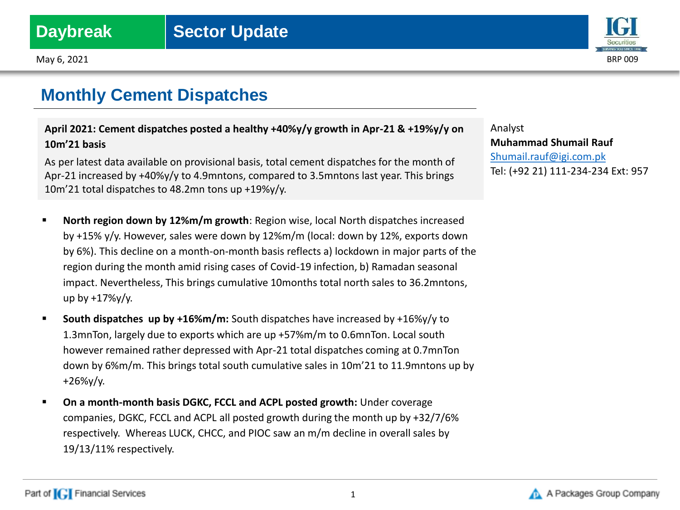May 6, 2021 BRP 009



## **Monthly Cement Dispatches**

**April 2021: Cement dispatches posted a healthy +40%y/y growth in Apr-21 & +19%y/y on 10m'21 basis**

As per latest data available on provisional basis, total cement dispatches for the month of Apr-21 increased by +40%y/y to 4.9mntons, compared to 3.5mntons last year. This brings 10m'21 total dispatches to 48.2mn tons up +19%y/y.

- **North region down by 12%m/m growth**: Region wise, local North dispatches increased by +15% y/y. However, sales were down by 12%m/m (local: down by 12%, exports down by 6%). This decline on a month-on-month basis reflects a) lockdown in major parts of the region during the month amid rising cases of Covid-19 infection, b) Ramadan seasonal impact. Nevertheless, This brings cumulative 10months total north sales to 36.2mntons, up by +17%y/y.
- **South dispatches up by +16%m/m:** South dispatches have increased by +16%y/y to 1.3mnTon, largely due to exports which are up +57%m/m to 0.6mnTon. Local south however remained rather depressed with Apr-21 total dispatches coming at 0.7mnTon down by 6%m/m. This brings total south cumulative sales in 10m'21 to 11.9mntons up by +26%y/y.
- **On a month-month basis DGKC, FCCL and ACPL posted growth:** Under coverage companies, DGKC, FCCL and ACPL all posted growth during the month up by +32/7/6% respectively. Whereas LUCK, CHCC, and PIOC saw an m/m decline in overall sales by 19/13/11% respectively.

Analyst **Muhammad Shumail Rauf** [Shumail.rauf@igi.com.pk](mailto:Shumail.rauf@igi.com.pk) Tel: (+92 21) 111-234-234 Ext: 957

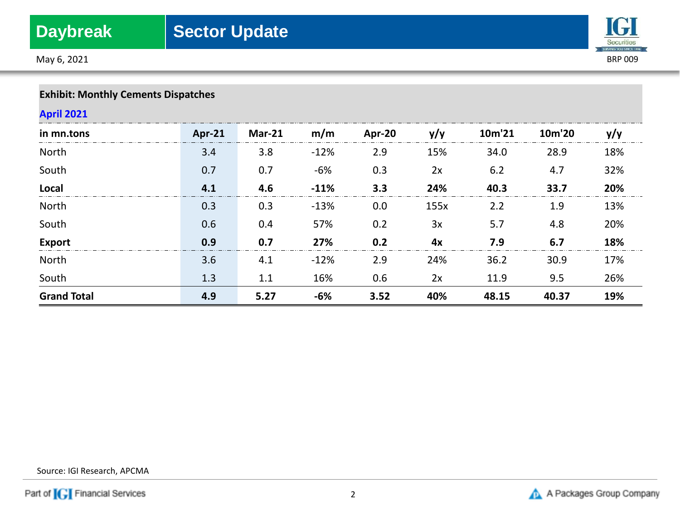May 6, 2021 BRP 009



## **Exhibit: Monthly Cements Dispatches**

## **April 2021**

| in mn.tons         | Apr-21 | <b>Mar-21</b> | m/m    | Apr-20 | y/y  | 10m'21 | 10m'20 | y/y |
|--------------------|--------|---------------|--------|--------|------|--------|--------|-----|
| North              | 3.4    | 3.8           | $-12%$ | 2.9    | 15%  | 34.0   | 28.9   | 18% |
| South              | 0.7    | 0.7           | $-6%$  | 0.3    | 2x   | 6.2    | 4.7    | 32% |
| Local              | 4.1    | 4.6           | $-11%$ | 3.3    | 24%  | 40.3   | 33.7   | 20% |
| North              | 0.3    | 0.3           | $-13%$ | 0.0    | 155x | 2.2    | 1.9    | 13% |
| South              | 0.6    | 0.4           | 57%    | 0.2    | 3x   | 5.7    | 4.8    | 20% |
| <b>Export</b>      | 0.9    | 0.7           | 27%    | 0.2    | 4x   | 7.9    | 6.7    | 18% |
| North              | 3.6    | 4.1           | $-12%$ | 2.9    | 24%  | 36.2   | 30.9   | 17% |
| South              | 1.3    | 1.1           | 16%    | 0.6    | 2x   | 11.9   | 9.5    | 26% |
| <b>Grand Total</b> | 4.9    | 5.27          | -6%    | 3.52   | 40%  | 48.15  | 40.37  | 19% |

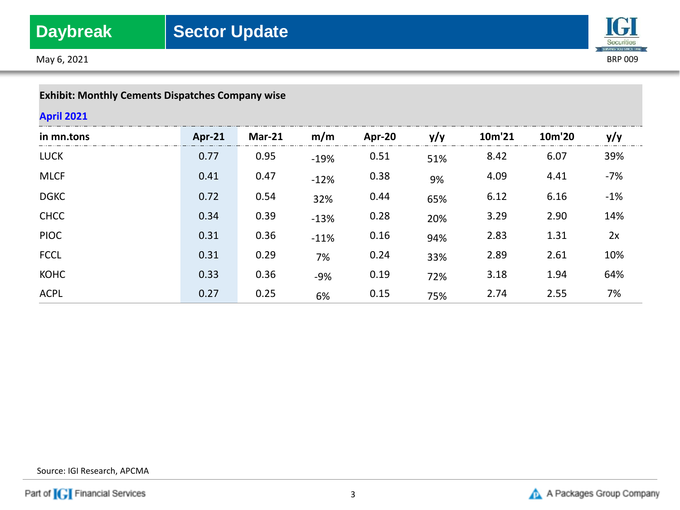May 6, 2021 BRP 009



## **Exhibit: Monthly Cements Dispatches Company wise**

## **April 2021**

| in mn.tons  | <b>Apr-21</b> | <b>Mar-21</b> | m/m    | Apr-20 | y/y | 10m'21 | 10m'20 | y/y   |
|-------------|---------------|---------------|--------|--------|-----|--------|--------|-------|
| <b>LUCK</b> | 0.77          | 0.95          | $-19%$ | 0.51   | 51% | 8.42   | 6.07   | 39%   |
| <b>MLCF</b> | 0.41          | 0.47          | $-12%$ | 0.38   | 9%  | 4.09   | 4.41   | $-7%$ |
| <b>DGKC</b> | 0.72          | 0.54          | 32%    | 0.44   | 65% | 6.12   | 6.16   | $-1%$ |
| <b>CHCC</b> | 0.34          | 0.39          | $-13%$ | 0.28   | 20% | 3.29   | 2.90   | 14%   |
| <b>PIOC</b> | 0.31          | 0.36          | $-11%$ | 0.16   | 94% | 2.83   | 1.31   | 2x    |
| <b>FCCL</b> | 0.31          | 0.29          | 7%     | 0.24   | 33% | 2.89   | 2.61   | 10%   |
| <b>KOHC</b> | 0.33          | 0.36          | $-9%$  | 0.19   | 72% | 3.18   | 1.94   | 64%   |
| <b>ACPL</b> | 0.27          | 0.25          | 6%     | 0.15   | 75% | 2.74   | 2.55   | 7%    |

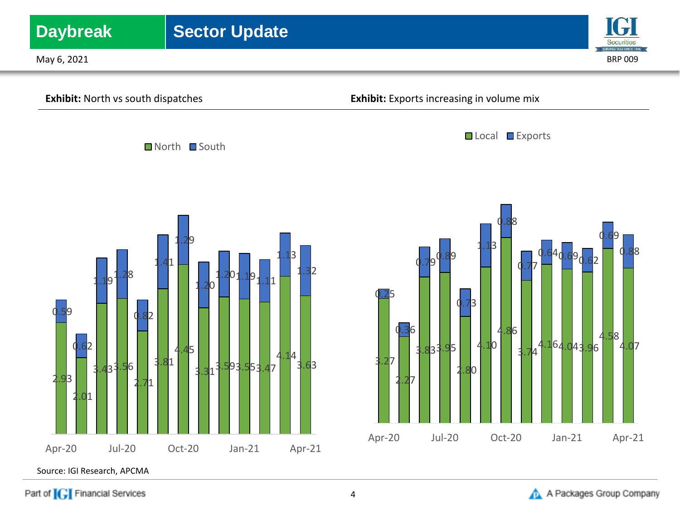

Part of **[G]** Financial Services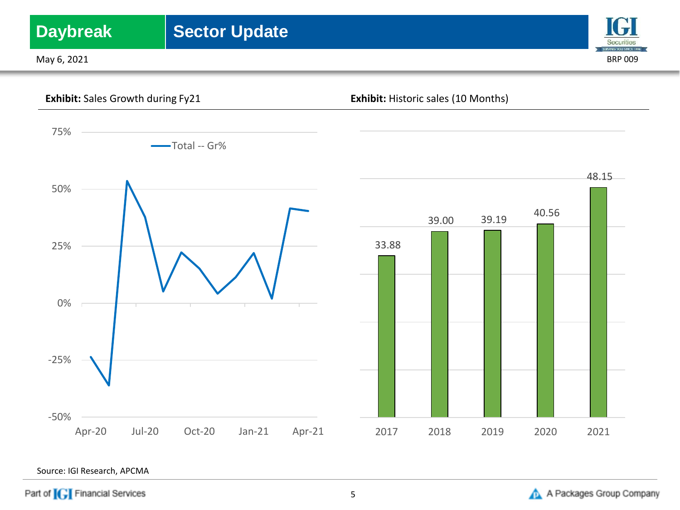# **Daybreak** | Sector Update

May 6, 2021 BRP 009





Source: IGI Research, APCMA

Part of **[G]** Financial Services

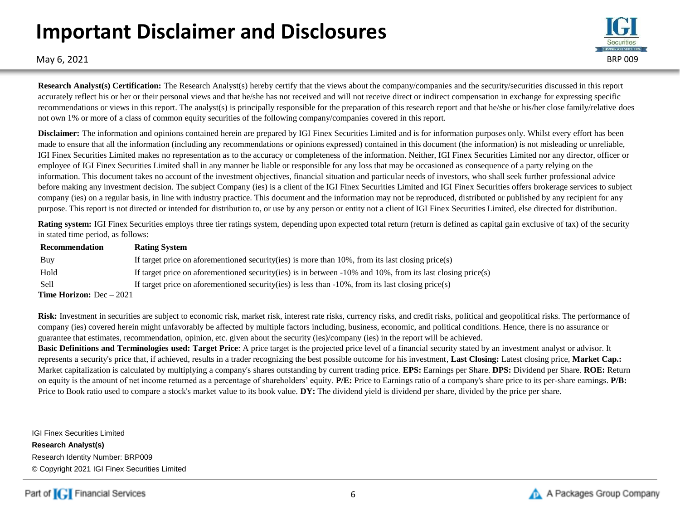# **Important Disclaimer and Disclosures**



May 6, 2021 BRP 009

**Research Analyst(s) Certification:** The Research Analyst(s) hereby certify that the views about the company/companies and the security/securities discussed in this report accurately reflect his or her or their personal views and that he/she has not received and will not receive direct or indirect compensation in exchange for expressing specific recommendations or views in this report. The analyst(s) is principally responsible for the preparation of this research report and that he/she or his/her close family/relative does not own 1% or more of a class of common equity securities of the following company/companies covered in this report.

**Disclaimer:** The information and opinions contained herein are prepared by IGI Finex Securities Limited and is for information purposes only. Whilst every effort has been made to ensure that all the information (including any recommendations or opinions expressed) contained in this document (the information) is not misleading or unreliable, IGI Finex Securities Limited makes no representation as to the accuracy or completeness of the information. Neither, IGI Finex Securities Limited nor any director, officer or employee of IGI Finex Securities Limited shall in any manner be liable or responsible for any loss that may be occasioned as consequence of a party relying on the information. This document takes no account of the investment objectives, financial situation and particular needs of investors, who shall seek further professional advice before making any investment decision. The subject Company (ies) is a client of the IGI Finex Securities Limited and IGI Finex Securities offers brokerage services to subject company (ies) on a regular basis, in line with industry practice. This document and the information may not be reproduced, distributed or published by any recipient for any purpose. This report is not directed or intended for distribution to, or use by any person or entity not a client of IGI Finex Securities Limited, else directed for distribution.

**Rating system:** IGI Finex Securities employs three tier ratings system, depending upon expected total return (return is defined as capital gain exclusive of tax) of the security in stated time period, as follows:

| Recommendation                    | <b>Rating System</b>                                                                                               |
|-----------------------------------|--------------------------------------------------------------------------------------------------------------------|
| Buy                               | If target price on aforementioned security (ies) is more than $10\%$ , from its last closing price (s)             |
| Hold                              | If target price on aforementioned security (ies) is in between $-10\%$ and $10\%$ , from its last closing price(s) |
| -Sell                             | If target price on aforementioned security (ies) is less than $-10\%$ , from its last closing price (s)            |
| <b>Time Horizon:</b> $Dec - 2021$ |                                                                                                                    |

Risk: Investment in securities are subject to economic risk, market risk, interest rate risks, currency risks, and credit risks, political and geopolitical risks. The performance of company (ies) covered herein might unfavorably be affected by multiple factors including, business, economic, and political conditions. Hence, there is no assurance or guarantee that estimates, recommendation, opinion, etc. given about the security (ies)/company (ies) in the report will be achieved.

**Basic Definitions and Terminologies used: Target Price**: A price target is the projected price level of a financial security stated by an investment analyst or advisor. It represents a security's price that, if achieved, results in a trader recognizing the best possible outcome for his investment, **Last Closing:** Latest closing price, **Market Cap.:**  Market capitalization is calculated by multiplying a company's shares outstanding by current trading price. **EPS:** Earnings per Share. **DPS:** Dividend per Share. **ROE:** Return on equity is the amount of net income returned as a percentage of shareholders' equity. **P/E:** Price to Earnings ratio of a company's share price to its per-share earnings. **P/B:** Price to Book ratio used to compare a stock's market value to its book value. **DY:** The dividend yield is dividend per share, divided by the price per share.

IGI Finex Securities Limited **Research Analyst(s)** Research Identity Number: BRP009 © Copyright 2021 IGI Finex Securities Limited